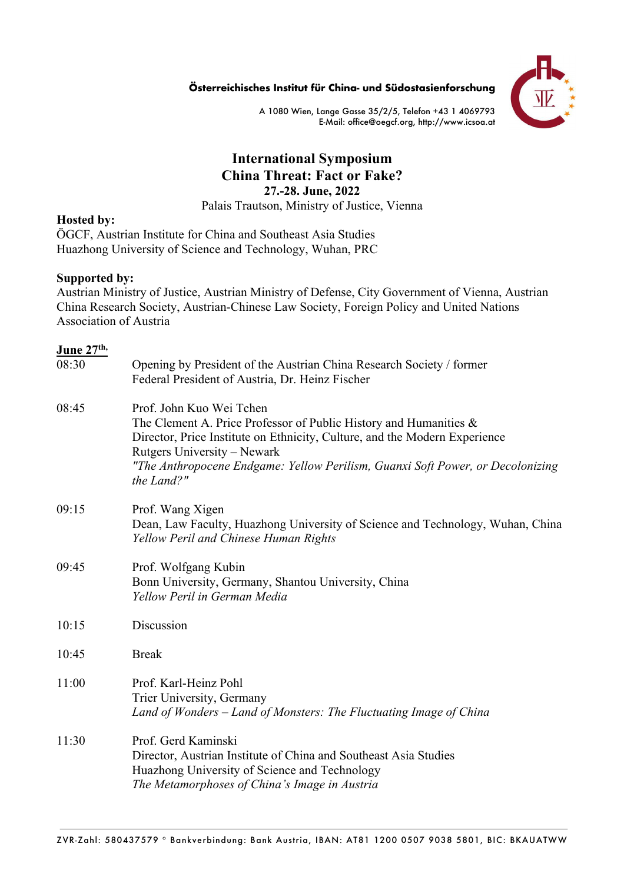**Österreichisches Institut für China- und Südostasienforschung**



A 1080 Wien, Lange Gasse 35/2/5, Telefon +43 1 4069793 E-Mail: office@oegcf.org, http://www.icsoa.at

# **International Symposium China Threat: Fact or Fake? 27.-28. June, 2022**

Palais Trautson, Ministry of Justice, Vienna

#### **Hosted by:**

ÖGCF, Austrian Institute for China and Southeast Asia Studies Huazhong University of Science and Technology, Wuhan, PRC

#### **Supported by:**

Austrian Ministry of Justice, Austrian Ministry of Defense, City Government of Vienna, Austrian China Research Society, Austrian-Chinese Law Society, Foreign Policy and United Nations Association of Austria

## **June 27th,**

| 08:30 | Opening by President of the Austrian China Research Society / former<br>Federal President of Austria, Dr. Heinz Fischer                                                                                                                                                                                       |
|-------|---------------------------------------------------------------------------------------------------------------------------------------------------------------------------------------------------------------------------------------------------------------------------------------------------------------|
| 08:45 | Prof. John Kuo Wei Tchen<br>The Clement A. Price Professor of Public History and Humanities $\&$<br>Director, Price Institute on Ethnicity, Culture, and the Modern Experience<br>Rutgers University – Newark<br>"The Anthropocene Endgame: Yellow Perilism, Guanxi Soft Power, or Decolonizing<br>the Land?" |
| 09:15 | Prof. Wang Xigen<br>Dean, Law Faculty, Huazhong University of Science and Technology, Wuhan, China<br>Yellow Peril and Chinese Human Rights                                                                                                                                                                   |
| 09:45 | Prof. Wolfgang Kubin<br>Bonn University, Germany, Shantou University, China<br>Yellow Peril in German Media                                                                                                                                                                                                   |
| 10:15 | Discussion                                                                                                                                                                                                                                                                                                    |
| 10:45 | <b>Break</b>                                                                                                                                                                                                                                                                                                  |
| 11:00 | Prof. Karl-Heinz Pohl<br>Trier University, Germany<br>Land of Wonders – Land of Monsters: The Fluctuating Image of China                                                                                                                                                                                      |
| 11:30 | Prof. Gerd Kaminski<br>Director, Austrian Institute of China and Southeast Asia Studies<br>Huazhong University of Science and Technology<br>The Metamorphoses of China's Image in Austria                                                                                                                     |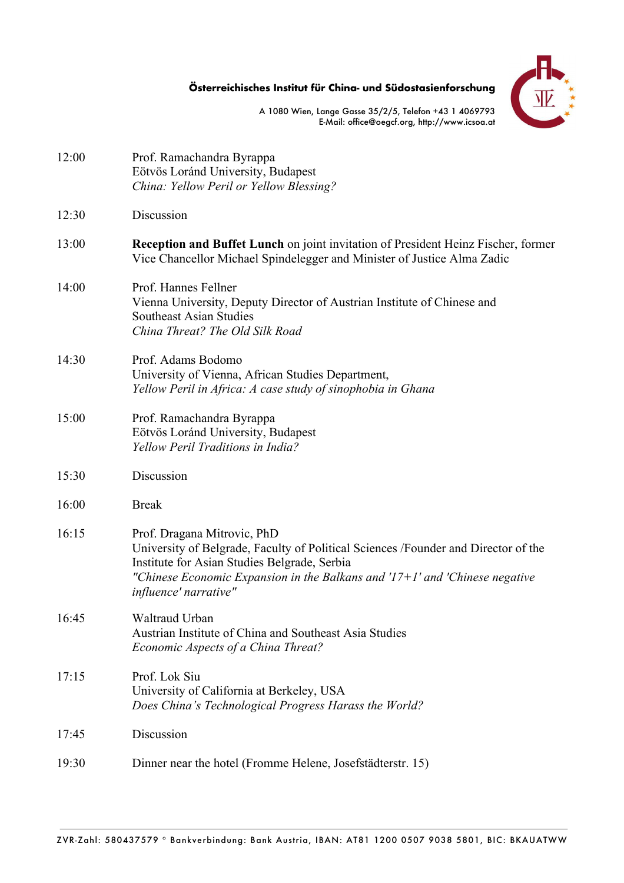**Österreichisches Institut für China- und Südostasienforschung**



A 1080 Wien, Lange Gasse 35/2/5, Telefon +43 1 4069793 E-Mail: office@oegcf.org, http://www.icsoa.at

| 12:00 | Prof. Ramachandra Byrappa<br>Eötvös Loránd University, Budapest<br>China: Yellow Peril or Yellow Blessing?                                                                                                                                                                |
|-------|---------------------------------------------------------------------------------------------------------------------------------------------------------------------------------------------------------------------------------------------------------------------------|
| 12:30 | Discussion                                                                                                                                                                                                                                                                |
| 13:00 | <b>Reception and Buffet Lunch</b> on joint invitation of President Heinz Fischer, former<br>Vice Chancellor Michael Spindelegger and Minister of Justice Alma Zadic                                                                                                       |
| 14:00 | Prof. Hannes Fellner<br>Vienna University, Deputy Director of Austrian Institute of Chinese and<br><b>Southeast Asian Studies</b><br>China Threat? The Old Silk Road                                                                                                      |
| 14:30 | Prof. Adams Bodomo<br>University of Vienna, African Studies Department,<br>Yellow Peril in Africa: A case study of sinophobia in Ghana                                                                                                                                    |
| 15:00 | Prof. Ramachandra Byrappa<br>Eötvös Loránd University, Budapest<br>Yellow Peril Traditions in India?                                                                                                                                                                      |
| 15:30 | Discussion                                                                                                                                                                                                                                                                |
| 16:00 | <b>Break</b>                                                                                                                                                                                                                                                              |
| 16:15 | Prof. Dragana Mitrovic, PhD<br>University of Belgrade, Faculty of Political Sciences /Founder and Director of the<br>Institute for Asian Studies Belgrade, Serbia<br>"Chinese Economic Expansion in the Balkans and $17+1$ and 'Chinese negative<br>influence' narrative" |
| 16:45 | Waltraud Urban<br>Austrian Institute of China and Southeast Asia Studies<br>Economic Aspects of a China Threat?                                                                                                                                                           |
| 17:15 | Prof. Lok Siu<br>University of California at Berkeley, USA<br>Does China's Technological Progress Harass the World?                                                                                                                                                       |
| 17:45 | Discussion                                                                                                                                                                                                                                                                |
| 19:30 | Dinner near the hotel (Fromme Helene, Josefstädterstr. 15)                                                                                                                                                                                                                |